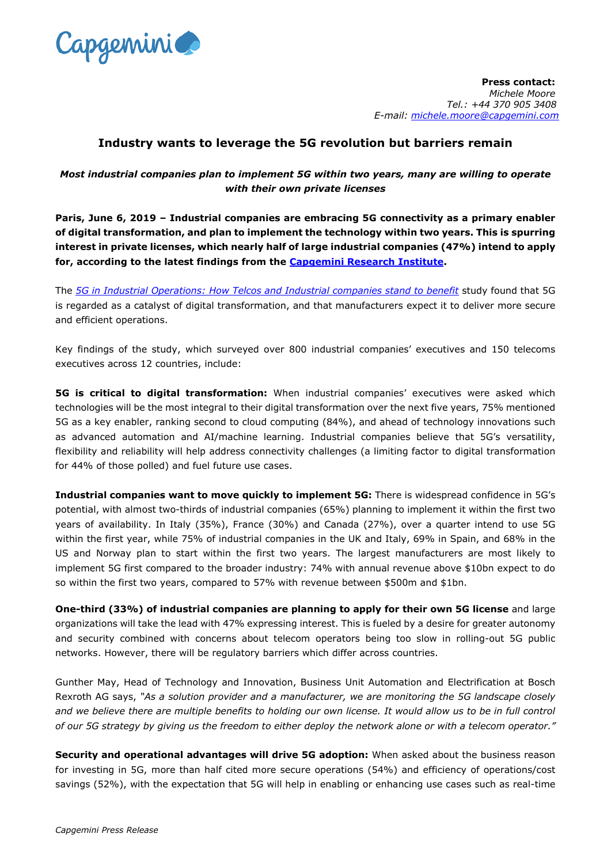

**Press contact:** *Michele Moore Tel.: +44 370 905 3408 E-mail: michele.moore@capgemini.com*

# **Industry wants to leverage the 5G revolution but barriers remain**

## *Most industrial companies plan to implement 5G within two years, many are willing to operate with their own private licenses*

**Paris, June 6, 2019 – Industrial companies are embracing 5G connectivity as a primary enabler of digital transformation, and plan to implement the technology within two years. This is spurring interest in private licenses, which nearly half of large industrial companies (47%) intend to apply for, according to the latest findings from the [Capgemini Research Institute.](https://www.capgemini.com/research-institute/)**

The *[5G in Industrial Operations: How Telcos and Industrial companies stand to benefit](https://www.capgemini.com/research/5g-in-industrial-operations/?utm_source=pr&utm_medium=referral&utm_content=none_none_link_pressrelease_none&utm_campaign=digitalmanufacturing_cri_5g)* study found that 5G is regarded as a catalyst of digital transformation, and that manufacturers expect it to deliver more secure and efficient operations.

Key findings of the study, which surveyed over 800 industrial companies' executives and 150 telecoms executives across 12 countries, include:

**5G is critical to digital transformation:** When industrial companies' executives were asked which technologies will be the most integral to their digital transformation over the next five years, 75% mentioned 5G as a key enabler, ranking second to cloud computing (84%), and ahead of technology innovations such as advanced automation and AI/machine learning. Industrial companies believe that 5G's versatility, flexibility and reliability will help address connectivity challenges (a limiting factor to digital transformation for 44% of those polled) and fuel future use cases.

**Industrial companies want to move quickly to implement 5G:** There is widespread confidence in 5G's potential, with almost two-thirds of industrial companies (65%) planning to implement it within the first two years of availability. In Italy (35%), France (30%) and Canada (27%), over a quarter intend to use 5G within the first year, while 75% of industrial companies in the UK and Italy, 69% in Spain, and 68% in the US and Norway plan to start within the first two years. The largest manufacturers are most likely to implement 5G first compared to the broader industry: 74% with annual revenue above \$10bn expect to do so within the first two years, compared to 57% with revenue between \$500m and \$1bn.

**One-third (33%) of industrial companies are planning to apply for their own 5G license** and large organizations will take the lead with 47% expressing interest. This is fueled by a desire for greater autonomy and security combined with concerns about telecom operators being too slow in rolling-out 5G public networks. However, there will be regulatory barriers which differ across countries.

Gunther May, Head of Technology and Innovation, Business Unit Automation and Electrification at Bosch Rexroth AG says, *"As a solution provider and a manufacturer, we are monitoring the 5G landscape closely*  and we believe there are multiple benefits to holding our own license. It would allow us to be in full control *of our 5G strategy by giving us the freedom to either deploy the network alone or with a telecom operator."*

**Security and operational advantages will drive 5G adoption:** When asked about the business reason for investing in 5G, more than half cited more secure operations (54%) and efficiency of operations/cost savings (52%), with the expectation that 5G will help in enabling or enhancing use cases such as real-time